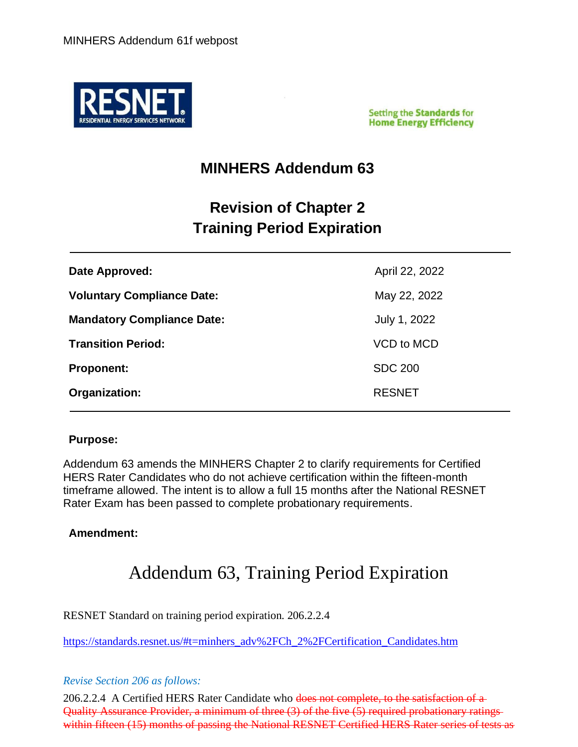

**Setting the Standards for Home Energy Efficiency** 

### **MINHERS Addendum 63**

## **Revision of Chapter 2 Training Period Expiration**

| Date Approved:                    | April 22, 2022 |
|-----------------------------------|----------------|
| <b>Voluntary Compliance Date:</b> | May 22, 2022   |
| <b>Mandatory Compliance Date:</b> | July 1, 2022   |
| <b>Transition Period:</b>         | VCD to MCD     |
| <b>Proponent:</b>                 | <b>SDC 200</b> |
| Organization:                     | <b>RESNET</b>  |

#### **Purpose:**

Addendum 63 amends the MINHERS Chapter 2 to clarify requirements for Certified HERS Rater Candidates who do not achieve certification within the fifteen-month timeframe allowed. The intent is to allow a full 15 months after the National RESNET Rater Exam has been passed to complete probationary requirements.

#### **Amendment:**

# Addendum 63, Training Period Expiration

RESNET Standard on training period expiration. 206.2.2.4

[https://standards.resnet.us/#t=minhers\\_adv%2FCh\\_2%2FCertification\\_Candidates.htm](https://standards.resnet.us/%23t=minhers_adv%2FCh_2%2FCertification_Candidates.htm)

#### *Revise Section 206 as follows:*

206.2.2.4 A Certified HERS Rater Candidate who does not complete, to the satisfaction of a Quality Assurance Provider, a minimum of three (3) of the five (5) required probationary ratings within fifteen (15) months of passing the National RESNET Certified HERS Rater series of tests as